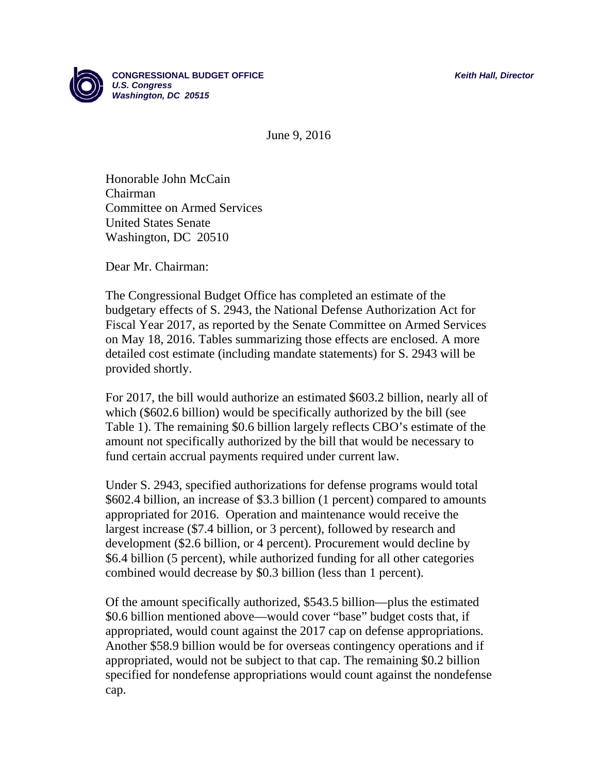

June 9, 2016

Honorable John McCain Chairman Committee on Armed Services United States Senate Washington, DC 20510

Dear Mr. Chairman:

The Congressional Budget Office has completed an estimate of the budgetary effects of S. 2943, the National Defense Authorization Act for Fiscal Year 2017, as reported by the Senate Committee on Armed Services on May 18, 2016. Tables summarizing those effects are enclosed. A more detailed cost estimate (including mandate statements) for S. 2943 will be provided shortly.

For 2017, the bill would authorize an estimated \$603.2 billion, nearly all of which (\$602.6 billion) would be specifically authorized by the bill (see Table 1). The remaining \$0.6 billion largely reflects CBO's estimate of the amount not specifically authorized by the bill that would be necessary to fund certain accrual payments required under current law.

Under S. 2943, specified authorizations for defense programs would total \$602.4 billion, an increase of \$3.3 billion (1 percent) compared to amounts appropriated for 2016. Operation and maintenance would receive the largest increase (\$7.4 billion, or 3 percent), followed by research and development (\$2.6 billion, or 4 percent). Procurement would decline by \$6.4 billion (5 percent), while authorized funding for all other categories combined would decrease by \$0.3 billion (less than 1 percent).

Of the amount specifically authorized, \$543.5 billion—plus the estimated \$0.6 billion mentioned above—would cover "base" budget costs that, if appropriated, would count against the 2017 cap on defense appropriations. Another \$58.9 billion would be for overseas contingency operations and if appropriated, would not be subject to that cap. The remaining \$0.2 billion specified for nondefense appropriations would count against the nondefense cap.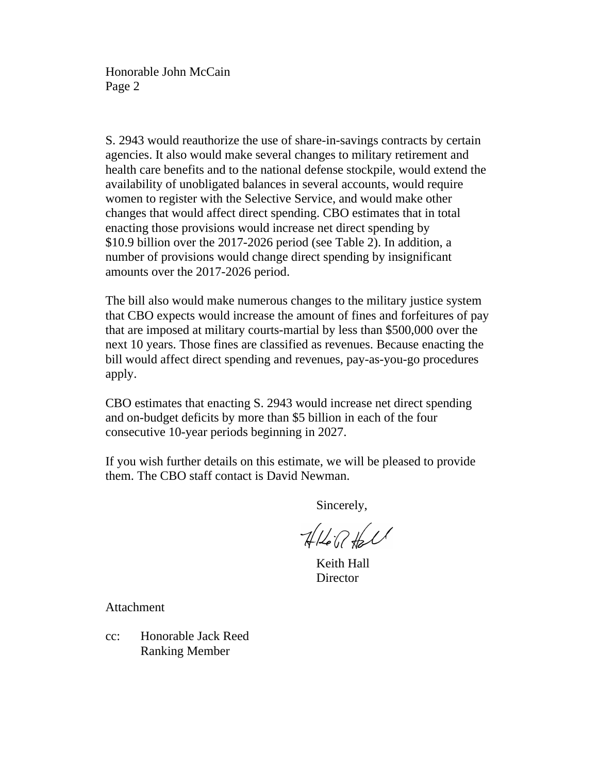Honorable John McCain Page 2

S. 2943 would reauthorize the use of share-in-savings contracts by certain agencies. It also would make several changes to military retirement and health care benefits and to the national defense stockpile, would extend the availability of unobligated balances in several accounts, would require women to register with the Selective Service, and would make other changes that would affect direct spending. CBO estimates that in total enacting those provisions would increase net direct spending by \$10.9 billion over the 2017-2026 period (see Table 2). In addition, a number of provisions would change direct spending by insignificant amounts over the 2017-2026 period.

The bill also would make numerous changes to the military justice system that CBO expects would increase the amount of fines and forfeitures of pay that are imposed at military courts-martial by less than \$500,000 over the next 10 years. Those fines are classified as revenues. Because enacting the bill would affect direct spending and revenues, pay-as-you-go procedures apply.

CBO estimates that enacting S. 2943 would increase net direct spending and on-budget deficits by more than \$5 billion in each of the four consecutive 10-year periods beginning in 2027.

If you wish further details on this estimate, we will be pleased to provide them. The CBO staff contact is David Newman.

Sincerely,

 $7167711$ 

 Keith Hall **Director** 

Attachment

cc: Honorable Jack Reed Ranking Member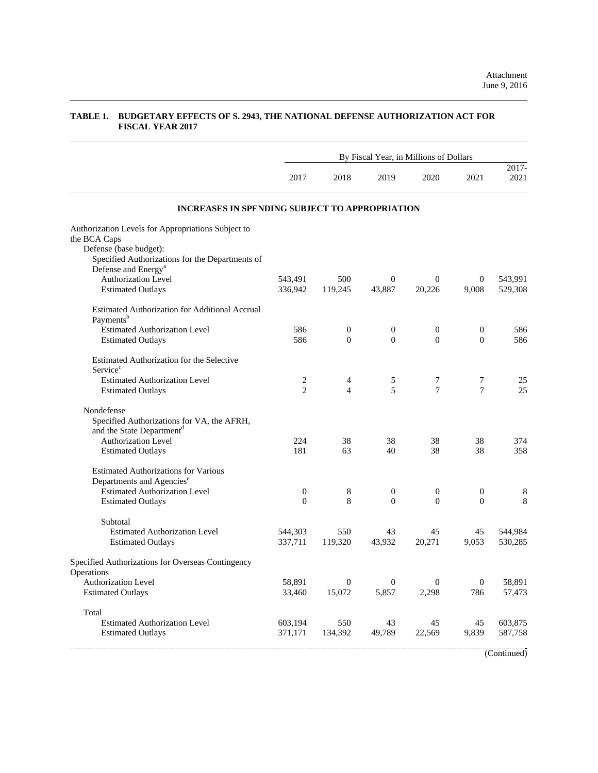$\mathcal{L}_{\mathcal{A}}$ 

|                                                                                                   | By Fiscal Year, in Millions of Dollars |                  |                  |                |                |               |  |  |  |
|---------------------------------------------------------------------------------------------------|----------------------------------------|------------------|------------------|----------------|----------------|---------------|--|--|--|
|                                                                                                   | 2017                                   | 2018             | 2019             | 2020           | 2021           | 2017-<br>2021 |  |  |  |
| <b>INCREASES IN SPENDING SUBJECT TO APPROPRIATION</b>                                             |                                        |                  |                  |                |                |               |  |  |  |
| Authorization Levels for Appropriations Subject to                                                |                                        |                  |                  |                |                |               |  |  |  |
| the BCA Caps<br>Defense (base budget):                                                            |                                        |                  |                  |                |                |               |  |  |  |
| Specified Authorizations for the Departments of                                                   |                                        |                  |                  |                |                |               |  |  |  |
| Defense and Energy <sup>a</sup>                                                                   |                                        |                  |                  |                |                |               |  |  |  |
| <b>Authorization Level</b>                                                                        | 543,491                                | 500              | $\boldsymbol{0}$ | $\Omega$       | $\mathbf{0}$   | 543,991       |  |  |  |
| <b>Estimated Outlays</b>                                                                          | 336,942                                | 119,245          | 43,887           | 20,226         | 9,008          | 529,308       |  |  |  |
| Estimated Authorization for Additional Accrual<br>Payments <sup>b</sup>                           |                                        |                  |                  |                |                |               |  |  |  |
| <b>Estimated Authorization Level</b>                                                              | 586                                    | $\boldsymbol{0}$ | $\mathbf{0}$     | $\mathbf{0}$   | 0              | 586           |  |  |  |
| <b>Estimated Outlays</b>                                                                          | 586                                    | $\theta$         | $\Omega$         | $\Omega$       | $\Omega$       | 586           |  |  |  |
| Estimated Authorization for the Selective<br>Service <sup>c</sup>                                 |                                        |                  |                  |                |                |               |  |  |  |
| <b>Estimated Authorization Level</b>                                                              | 2                                      | 4                | 5                | 7              | 7              | 25            |  |  |  |
| <b>Estimated Outlays</b>                                                                          | $\overline{\mathcal{L}}$               | $\overline{4}$   | $\overline{5}$   | $\overline{7}$ | $\overline{7}$ | 25            |  |  |  |
| Nondefense<br>Specified Authorizations for VA, the AFRH,<br>and the State Department <sup>d</sup> |                                        |                  |                  |                |                |               |  |  |  |
| <b>Authorization Level</b>                                                                        | 224                                    | 38               | 38               | 38             | 38             | 374           |  |  |  |
| <b>Estimated Outlays</b>                                                                          | 181                                    | 63               | 40               | 38             | 38             | 358           |  |  |  |
| <b>Estimated Authorizations for Various</b>                                                       |                                        |                  |                  |                |                |               |  |  |  |
| Departments and Agencies <sup>e</sup><br><b>Estimated Authorization Level</b>                     | $\boldsymbol{0}$                       |                  | $\mathbf{0}$     | $\overline{0}$ | $\mathbf{0}$   |               |  |  |  |
| <b>Estimated Outlays</b>                                                                          | $\Omega$                               | 8<br>8           | $\Omega$         | $\Omega$       | $\Omega$       | 8<br>8        |  |  |  |
|                                                                                                   |                                        |                  |                  |                |                |               |  |  |  |
| Subtotal                                                                                          |                                        |                  |                  |                |                |               |  |  |  |
| <b>Estimated Authorization Level</b>                                                              | 544,303                                | 550              | 43               | 45             | 45             | 544,984       |  |  |  |
| <b>Estimated Outlays</b>                                                                          | 337,711                                | 119,320          | 43,932           | 20,271         | 9,053          | 530,285       |  |  |  |
| Specified Authorizations for Overseas Contingency<br>Operations                                   |                                        |                  |                  |                |                |               |  |  |  |
| Authorization Level                                                                               | 58,891                                 | $\theta$         | $\overline{0}$   | $\theta$       | $\mathbf{0}$   | 58,891        |  |  |  |
| <b>Estimated Outlays</b>                                                                          | 33,460                                 | 15,072           | 5,857            | 2.298          | 786            | 57,473        |  |  |  |
| Total                                                                                             |                                        |                  |                  |                |                |               |  |  |  |
| <b>Estimated Authorization Level</b>                                                              | 603,194                                | 550              | 43               | 45             | 45             | 603,875       |  |  |  |
| <b>Estimated Outlays</b>                                                                          | 371,171                                | 134,392          | 49,789           | 22,569         | 9,839          | 587,758       |  |  |  |

## **TABLE 1. BUDGETARY EFFECTS OF S. 2943, THE NATIONAL DEFENSE AUTHORIZATION ACT FOR FISCAL YEAR 2017**

(Continued)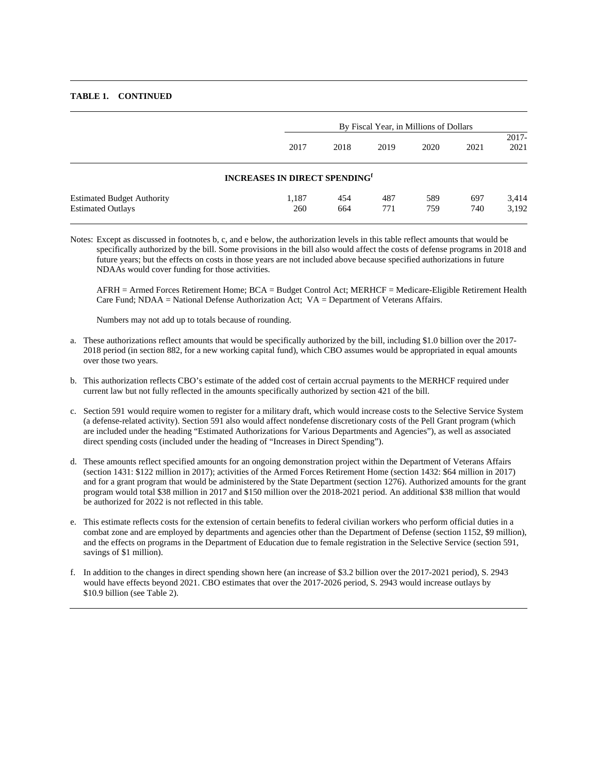## **TABLE 1. CONTINUED**

|                                                               |                                                  | By Fiscal Year, in Millions of Dollars |            |            |            |                  |  |  |  |  |  |
|---------------------------------------------------------------|--------------------------------------------------|----------------------------------------|------------|------------|------------|------------------|--|--|--|--|--|
|                                                               | 2017                                             | 2018                                   | 2019       | 2020       | 2021       | $2017 -$<br>2021 |  |  |  |  |  |
|                                                               | <b>INCREASES IN DIRECT SPENDING</b> <sup>f</sup> |                                        |            |            |            |                  |  |  |  |  |  |
| <b>Estimated Budget Authority</b><br><b>Estimated Outlays</b> | 1.187<br>260                                     | 454<br>664                             | 487<br>771 | 589<br>759 | 697<br>740 | 3,414<br>3,192   |  |  |  |  |  |

Notes: Except as discussed in footnotes b, c, and e below, the authorization levels in this table reflect amounts that would be specifically authorized by the bill. Some provisions in the bill also would affect the costs of defense programs in 2018 and future years; but the effects on costs in those years are not included above because specified authorizations in future NDAAs would cover funding for those activities.

 AFRH = Armed Forces Retirement Home; BCA = Budget Control Act; MERHCF = Medicare-Eligible Retirement Health Care Fund; NDAA = National Defense Authorization Act; VA = Department of Veterans Affairs.

Numbers may not add up to totals because of rounding.

- a. These authorizations reflect amounts that would be specifically authorized by the bill, including \$1.0 billion over the 2017- 2018 period (in section 882, for a new working capital fund), which CBO assumes would be appropriated in equal amounts over those two years.
- b. This authorization reflects CBO's estimate of the added cost of certain accrual payments to the MERHCF required under current law but not fully reflected in the amounts specifically authorized by section 421 of the bill.
- c. Section 591 would require women to register for a military draft, which would increase costs to the Selective Service System (a defense-related activity). Section 591 also would affect nondefense discretionary costs of the Pell Grant program (which are included under the heading "Estimated Authorizations for Various Departments and Agencies"), as well as associated direct spending costs (included under the heading of "Increases in Direct Spending").
- d. These amounts reflect specified amounts for an ongoing demonstration project within the Department of Veterans Affairs (section 1431: \$122 million in 2017); activities of the Armed Forces Retirement Home (section 1432: \$64 million in 2017) and for a grant program that would be administered by the State Department (section 1276). Authorized amounts for the grant program would total \$38 million in 2017 and \$150 million over the 2018-2021 period. An additional \$38 million that would be authorized for 2022 is not reflected in this table.
- e. This estimate reflects costs for the extension of certain benefits to federal civilian workers who perform official duties in a combat zone and are employed by departments and agencies other than the Department of Defense (section 1152, \$9 million), and the effects on programs in the Department of Education due to female registration in the Selective Service (section 591, savings of \$1 million).
- f. In addition to the changes in direct spending shown here (an increase of \$3.2 billion over the 2017-2021 period), S. 2943 would have effects beyond 2021. CBO estimates that over the 2017-2026 period, S. 2943 would increase outlays by \$10.9 billion (see Table 2).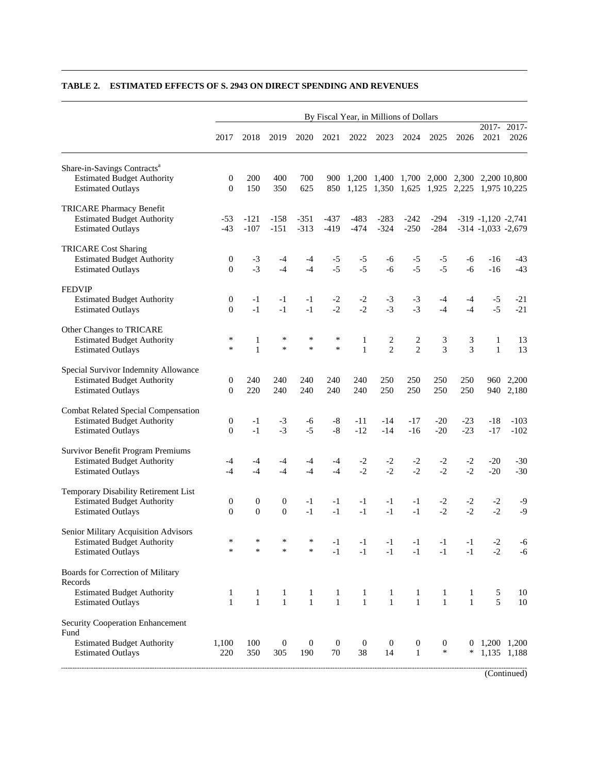|                                                                                                                  | By Fiscal Year, in Millions of Dollars |                                |                              |                              |                              |                        |                                                                                          |                                  |                              |                   |                                                  |                            |
|------------------------------------------------------------------------------------------------------------------|----------------------------------------|--------------------------------|------------------------------|------------------------------|------------------------------|------------------------|------------------------------------------------------------------------------------------|----------------------------------|------------------------------|-------------------|--------------------------------------------------|----------------------------|
|                                                                                                                  | 2017                                   | 2018                           | 2019                         | 2020                         | 2021                         | 2022                   | 2023                                                                                     | 2024                             | 2025                         | 2026              | 2017-<br>2021                                    | 2017-<br>2026              |
| Share-in-Savings Contracts <sup>a</sup><br><b>Estimated Budget Authority</b><br><b>Estimated Outlays</b>         | $\boldsymbol{0}$<br>$\overline{0}$     | 200<br>150                     | 400<br>350                   | 700<br>625                   | 900<br>850                   |                        | 1,200 1,400 1,700 2,000 2,300 2,200 10,800<br>1,125 1,350 1,625 1,925 2,225 1,975 10,225 |                                  |                              |                   |                                                  |                            |
| <b>TRICARE Pharmacy Benefit</b><br><b>Estimated Budget Authority</b><br><b>Estimated Outlays</b>                 | $-53$<br>$-43$                         | -121<br>$-107$                 | $-158$<br>$-151$             | $-351$<br>$-313$             | $-437$<br>$-419$             | $-483$<br>$-474$       | $-283$<br>$-324$                                                                         | -242<br>$-250$                   | -294<br>$-284$               |                   | $-319 - 1,120 - 2,741$<br>$-314 - 1,033 - 2,679$ |                            |
| <b>TRICARE Cost Sharing</b><br><b>Estimated Budget Authority</b><br><b>Estimated Outlays</b>                     | 0<br>$\overline{0}$                    | $-3$<br>$-3$                   | -4<br>$-4$                   | -4<br>$-4$                   | $-5$<br>$-5$                 | $-5$<br>$-5$           | -6<br>$-6$                                                                               | -5<br>$-5$                       | $-5$<br>$-5$                 | -6<br>$-6$        | -16<br>$-16$                                     | -43<br>$-43$               |
| <b>FEDVIP</b><br><b>Estimated Budget Authority</b><br><b>Estimated Outlays</b>                                   | 0<br>$\Omega$                          | $-1$<br>$-1$                   | $-1$<br>$-1$                 | $-1$<br>$-1$                 | $-2$<br>$-2$                 | $-2$<br>$-2$           | $-3$<br>$-3$                                                                             | $-3$<br>$-3$                     | -4<br>$-4$                   | -4<br>$-4$        | $-5$<br>$-5$                                     | $-21$<br>$-21$             |
| Other Changes to TRICARE<br><b>Estimated Budget Authority</b><br><b>Estimated Outlays</b>                        | $\ast$<br>$\ast$                       | 1<br>$\mathbf{1}$              | $\ast$<br>$\ast$             | ∗<br>*                       | ∗<br>$\ast$                  | 1<br>$\mathbf{1}$      | 2<br>$\overline{2}$                                                                      | 2<br>$\overline{2}$              | 3<br>3                       | 3<br>3            | 1<br>$\mathbf{1}$                                | 13<br>13                   |
| Special Survivor Indemnity Allowance<br><b>Estimated Budget Authority</b><br><b>Estimated Outlays</b>            | 0<br>$\Omega$                          | 240<br>220                     | 240<br>240                   | 240<br>240                   | 240<br>240                   | 240<br>240             | 250<br>250                                                                               | 250<br>250                       | 250<br>250                   | 250<br>250        |                                                  | 960 2,200<br>940 2,180     |
| <b>Combat Related Special Compensation</b><br><b>Estimated Budget Authority</b><br><b>Estimated Outlays</b>      | $\boldsymbol{0}$<br>$\Omega$           | $-1$<br>$-1$                   | $-3$<br>$-3$                 | -6<br>$-5$                   | $-8$<br>$-8$                 | -11<br>$-12$           | -14<br>$-14$                                                                             | -17<br>$-16$                     | $-20$<br>$-20$               | $-23$<br>$-23$    | -18<br>$-17$                                     | $-103$<br>$-102$           |
| Survivor Benefit Program Premiums<br><b>Estimated Budget Authority</b><br><b>Estimated Outlays</b>               | -4<br>$-4$                             | -4<br>$-4$                     | -4<br>$-4$                   | $-4$<br>$-4$                 | $-4$<br>$-4$                 | $-2$<br>$-2$           | $-2$<br>$-2$                                                                             | $-2$<br>$-2$                     | $-2$<br>$-2$                 | $-2$<br>$-2$      | $-20$<br>$-20$                                   | $-30$<br>$-30$             |
| Temporary Disability Retirement List<br><b>Estimated Budget Authority</b><br><b>Estimated Outlays</b>            | $\boldsymbol{0}$<br>$\overline{0}$     | $\mathbf{0}$<br>$\overline{0}$ | $\boldsymbol{0}$<br>$\Omega$ | -1<br>$-1$                   | $-1$<br>$-1$                 | -1<br>$-1$             | $-1$<br>$-1$                                                                             | -1<br>$-1$                       | $-2$<br>$-2$                 | $-2$<br>$-2$      | $-2$<br>$-2$                                     | $-9$<br>$-9$               |
| Senior Military Acquisition Advisors<br><b>Estimated Budget Authority</b><br><b>Estimated Outlays</b>            | *<br>∗                                 |                                | ∗                            | $\ast$                       | $-1$                         | $-1$<br>$-1$           | $-1$                                                                                     | $-1$                             | $-1$ $-1$ $-1$<br>$-1$       | $-1$<br>$-1$      | $-2$<br>$-2$                                     | -6<br>-6                   |
| Boards for Correction of Military<br>Records<br><b>Estimated Budget Authority</b><br><b>Estimated Outlays</b>    | $\mathbf{1}$<br>$\mathbf{1}$           | 1<br>$\mathbf{1}$              | 1<br>$\mathbf{1}$            | $\mathbf{1}$<br>$\mathbf{1}$ | $\mathbf{1}$<br>$\mathbf{1}$ | 1<br>$\mathbf{1}$      | 1<br>$\mathbf{1}$                                                                        | 1<br>$\mathbf{1}$                | $\mathbf{1}$<br>$\mathbf{1}$ | 1<br>$\mathbf{1}$ | 5<br>5                                           | 10<br>10                   |
| <b>Security Cooperation Enhancement</b><br>Fund<br><b>Estimated Budget Authority</b><br><b>Estimated Outlays</b> | 1,100<br>220                           | 100<br>350                     | $\boldsymbol{0}$<br>305      | $\boldsymbol{0}$<br>190      | $\boldsymbol{0}$<br>$70\,$   | $\boldsymbol{0}$<br>38 | $\boldsymbol{0}$<br>14                                                                   | $\boldsymbol{0}$<br>$\mathbf{1}$ | $\boldsymbol{0}$<br>$\ast$   | ∗                 |                                                  | 1,200 1,200<br>1,135 1,188 |

## **TABLE 2. ESTIMATED EFFECTS OF S. 2943 ON DIRECT SPENDING AND REVENUES**

(Continued)